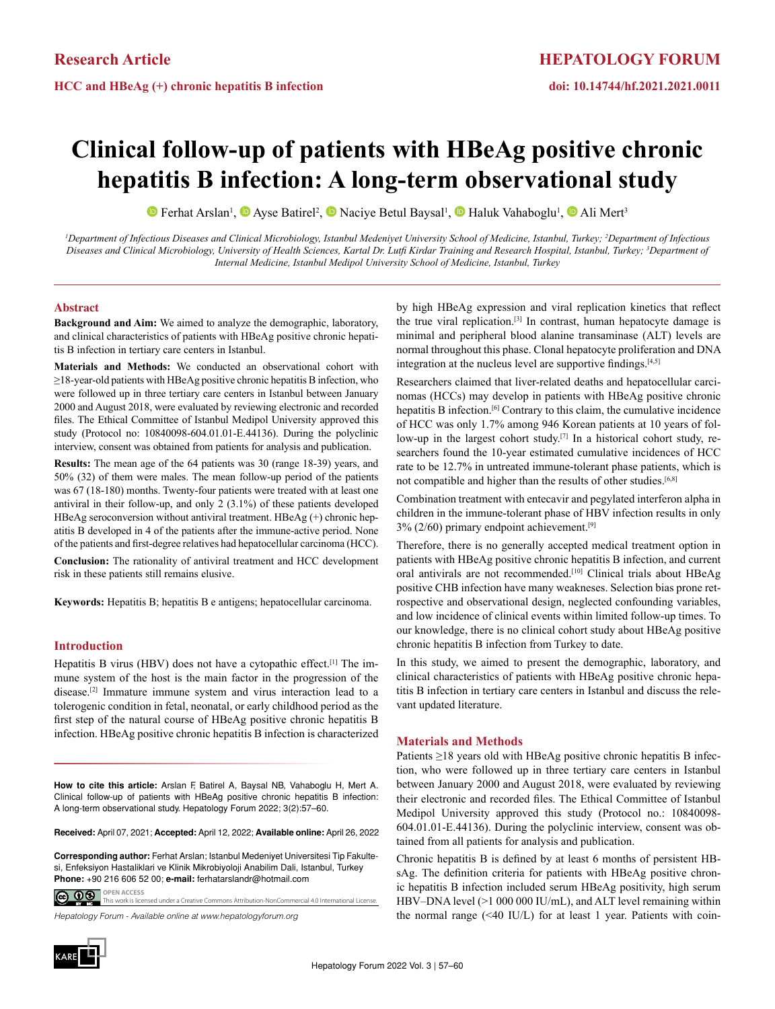# **Clinical follow-up of patients with HBeAg positive chronic hepatitis B infection: A long-term observational study**

Ferhat Arslan<sup>1</sup>, **O** Ayse Batirel<sup>2</sup>, **O** Naciye Betul Baysal<sup>1</sup>, **O** Haluk Vahaboglu<sup>1</sup>, **O** Ali Mert<sup>3</sup>

<sup>*1*</sup>Department of Infectious Diseases and Clinical Microbiology, Istanbul Medeniyet University School of Medicine, Istanbul, Turkey; <sup>2</sup>Department of Infectious *Diseases and Clinical Microbiology, University of Health Sciences, Kartal Dr. Lutfi Kirdar Training and Research Hospital, Istanbul, Turkey; <sup>3</sup> Department of Internal Medicine, Istanbul Medipol University School of Medicine, Istanbul, Turkey*

### **Abstract**

**Background and Aim:** We aimed to analyze the demographic, laboratory, and clinical characteristics of patients with HBeAg positive chronic hepatitis B infection in tertiary care centers in Istanbul.

**Materials and Methods:** We conducted an observational cohort with ≥18-year-old patients with HBeAg positive chronic hepatitis B infection, who were followed up in three tertiary care centers in Istanbul between January 2000 and August 2018, were evaluated by reviewing electronic and recorded files. The Ethical Committee of Istanbul Medipol University approved this study (Protocol no: 10840098-604.01.01-E.44136). During the polyclinic interview, consent was obtained from patients for analysis and publication.

**Results:** The mean age of the 64 patients was 30 (range 18-39) years, and 50% (32) of them were males. The mean follow-up period of the patients was 67 (18-180) months. Twenty-four patients were treated with at least one antiviral in their follow-up, and only 2 (3.1%) of these patients developed HBeAg seroconversion without antiviral treatment. HBeAg (+) chronic hepatitis B developed in 4 of the patients after the immune-active period. None of the patients and first-degree relatives had hepatocellular carcinoma (HCC).

**Conclusion:** The rationality of antiviral treatment and HCC development risk in these patients still remains elusive.

**Keywords:** Hepatitis B; hepatitis B e antigens; hepatocellular carcinoma.

## **Introduction**

Hepatitis B virus (HBV) does not have a cytopathic effect.<sup>[1]</sup> The immune system of the host is the main factor in the progression of the disease.[2] Immature immune system and virus interaction lead to a tolerogenic condition in fetal, neonatal, or early childhood period as the first step of the natural course of HBeAg positive chronic hepatitis B infection. HBeAg positive chronic hepatitis B infection is characterized

**How to cite this article:** Arslan F, Batirel A, Baysal NB, Vahaboglu H, Mert A. Clinical follow-up of patients with HBeAg positive chronic hepatitis B infection: A long-term observational study. Hepatology Forum 2022; 3(2):57–60.

**Received:** April 07, 2021; **Accepted:** April 12, 2022; **Available online:** April 26, 2022

**OPEN ACCESS Corresponding author:** Ferhat Arslan; Istanbul Medeniyet Universitesi Tip Fakultesi, Enfeksiyon Hastaliklari ve Klinik Mikrobiyoloji Anabilim Dali, Istanbul, Turkey **Phone:** +90 216 606 52 00; **e-mail:** ferhatarslandr@hotmail.com

<u>@ 00 </u> This work is licensed under a Creative Commons Attribution-NonCommercial 4.0 International License.

*Hepatology Forum - Available online at www.hepatologyforum.org*



by high HBeAg expression and viral replication kinetics that reflect the true viral replication.[3] In contrast, human hepatocyte damage is minimal and peripheral blood alanine transaminase (ALT) levels are normal throughout this phase. Clonal hepatocyte proliferation and DNA integration at the nucleus level are supportive findings.[4,5]

Researchers claimed that liver-related deaths and hepatocellular carcinomas (HCCs) may develop in patients with HBeAg positive chronic hepatitis B infection.[6] Contrary to this claim, the cumulative incidence of HCC was only 1.7% among 946 Korean patients at 10 years of follow-up in the largest cohort study.<sup>[7]</sup> In a historical cohort study, researchers found the 10-year estimated cumulative incidences of HCC rate to be 12.7% in untreated immune-tolerant phase patients, which is not compatible and higher than the results of other studies.<sup>[6,8]</sup>

Combination treatment with entecavir and pegylated interferon alpha in children in the immune-tolerant phase of HBV infection results in only 3% (2/60) primary endpoint achievement.[9]

Therefore, there is no generally accepted medical treatment option in patients with HBeAg positive chronic hepatitis B infection, and current oral antivirals are not recommended.<sup>[10]</sup> Clinical trials about HBeAg positive CHB infection have many weakneses. Selection bias prone retrospective and observational design, neglected confounding variables, and low incidence of clinical events within limited follow-up times. To our knowledge, there is no clinical cohort study about HBeAg positive chronic hepatitis B infection from Turkey to date.

In this study, we aimed to present the demographic, laboratory, and clinical characteristics of patients with HBeAg positive chronic hepatitis B infection in tertiary care centers in Istanbul and discuss the relevant updated literature.

### **Materials and Methods**

Patients ≥18 years old with HBeAg positive chronic hepatitis B infection, who were followed up in three tertiary care centers in Istanbul between January 2000 and August 2018, were evaluated by reviewing their electronic and recorded files. The Ethical Committee of Istanbul Medipol University approved this study (Protocol no.: 10840098- 604.01.01-E.44136). During the polyclinic interview, consent was obtained from all patients for analysis and publication.

Chronic hepatitis B is defined by at least 6 months of persistent HBsAg. The definition criteria for patients with HBeAg positive chronic hepatitis B infection included serum HBeAg positivity, high serum HBV–DNA level (>1 000 000 IU/mL), and ALT level remaining within the normal range  $(\leq 40 \text{ IU/L})$  for at least 1 year. Patients with coin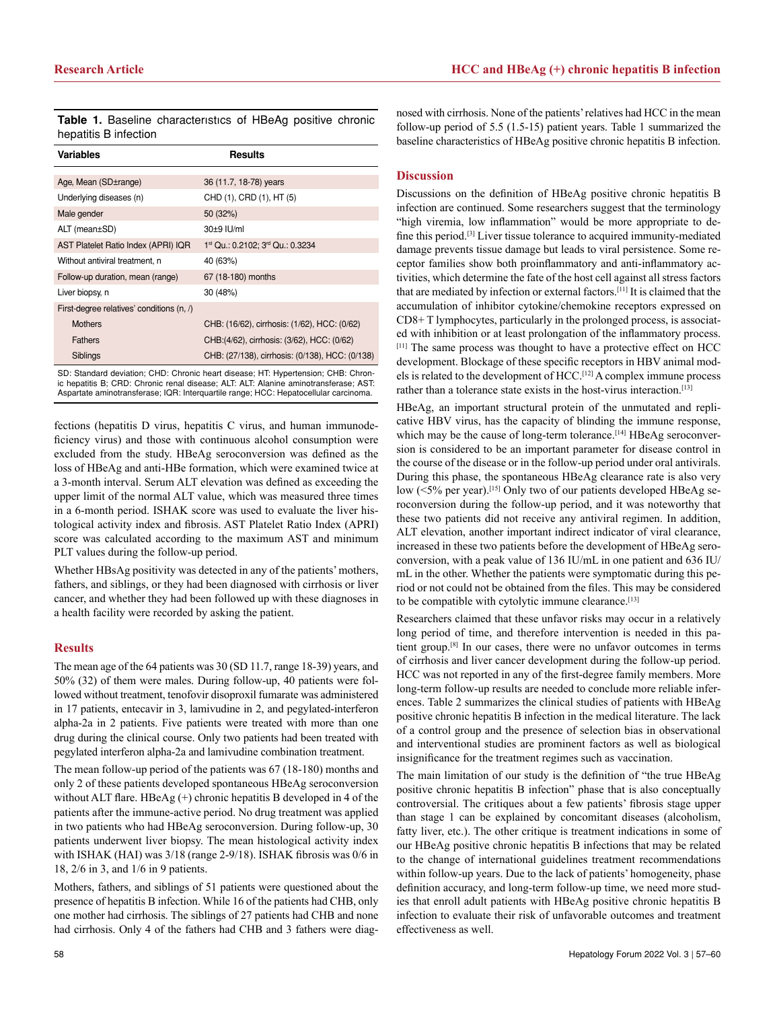**Table 1.** Baseline characterıstıcs of HBeAg positive chronic hepatitis B infection

| Variables                                         | Results                                         |
|---------------------------------------------------|-------------------------------------------------|
|                                                   |                                                 |
| Age, Mean (SD±range)                              | 36 (11.7, 18-78) years                          |
| Underlying diseases (n)                           | CHD (1), CRD (1), HT (5)                        |
| Male gender                                       | 50 (32%)                                        |
| ALT (mean±SD)                                     | 30±9 IU/ml                                      |
| AST Platelet Ratio Index (APRI) IQR               | 1st Qu.: 0.2102; 3rd Qu.: 0.3234                |
| Without antiviral treatment, n                    | 40 (63%)                                        |
| Follow-up duration, mean (range)                  | 67 (18-180) months                              |
| Liver biopsy, n                                   | 30 (48%)                                        |
| First-degree relatives' conditions $(n, \Lambda)$ |                                                 |
| <b>Mothers</b>                                    | CHB: (16/62), cirrhosis: (1/62), HCC: (0/62)    |
| <b>Fathers</b>                                    | CHB:(4/62), cirrhosis: (3/62), HCC: (0/62)      |
| Siblings                                          | CHB: (27/138), cirrhosis: (0/138), HCC: (0/138) |

SD: Standard deviation; CHD: Chronic heart disease; HT: Hypertension; CHB: Chronic hepatitis B; CRD: Chronic renal disease; ALT: ALT: Alanine aminotransferase; AST: Aspartate aminotransferase; IQR: Interquartile range; HCC: Hepatocellular carcinoma.

fections (hepatitis D virus, hepatitis C virus, and human immunodeficiency virus) and those with continuous alcohol consumption were excluded from the study. HBeAg seroconversion was defined as the loss of HBeAg and anti-HBe formation, which were examined twice at a 3-month interval. Serum ALT elevation was defined as exceeding the upper limit of the normal ALT value, which was measured three times in a 6-month period. ISHAK score was used to evaluate the liver histological activity index and fibrosis. AST Platelet Ratio Index (APRI) score was calculated according to the maximum AST and minimum PLT values during the follow-up period.

Whether HBsAg positivity was detected in any of the patients' mothers, fathers, and siblings, or they had been diagnosed with cirrhosis or liver cancer, and whether they had been followed up with these diagnoses in a health facility were recorded by asking the patient.

## **Results**

The mean age of the 64 patients was 30 (SD 11.7, range 18-39) years, and 50% (32) of them were males. During follow-up, 40 patients were followed without treatment, tenofovir disoproxil fumarate was administered in 17 patients, entecavir in 3, lamivudine in 2, and pegylated-interferon alpha-2a in 2 patients. Five patients were treated with more than one drug during the clinical course. Only two patients had been treated with pegylated interferon alpha-2a and lamivudine combination treatment.

The mean follow-up period of the patients was 67 (18-180) months and only 2 of these patients developed spontaneous HBeAg seroconversion without ALT flare. HBeAg (+) chronic hepatitis B developed in 4 of the patients after the immune-active period. No drug treatment was applied in two patients who had HBeAg seroconversion. During follow-up, 30 patients underwent liver biopsy. The mean histological activity index with ISHAK (HAI) was 3/18 (range 2-9/18). ISHAK fibrosis was 0/6 in 18, 2/6 in 3, and 1/6 in 9 patients.

Mothers, fathers, and siblings of 51 patients were questioned about the presence of hepatitis B infection. While 16 of the patients had CHB, only one mother had cirrhosis. The siblings of 27 patients had CHB and none had cirrhosis. Only 4 of the fathers had CHB and 3 fathers were diag-

nosed with cirrhosis. None of the patients' relatives had HCC in the mean follow-up period of 5.5 (1.5-15) patient years. Table 1 summarized the baseline characteristics of HBeAg positive chronic hepatitis B infection.

#### **Discussion**

Discussions on the definition of HBeAg positive chronic hepatitis B infection are continued. Some researchers suggest that the terminology "high viremia, low inflammation" would be more appropriate to define this period.[3] Liver tissue tolerance to acquired immunity-mediated damage prevents tissue damage but leads to viral persistence. Some receptor families show both proinflammatory and anti-inflammatory activities, which determine the fate of the host cell against all stress factors that are mediated by infection or external factors.[11] It is claimed that the accumulation of inhibitor cytokine/chemokine receptors expressed on CD8+ T lymphocytes, particularly in the prolonged process, is associated with inhibition or at least prolongation of the inflammatory process. [11] The same process was thought to have a protective effect on HCC development. Blockage of these specific receptors in HBV animal models is related to the development of HCC.[12] A complex immune process rather than a tolerance state exists in the host-virus interaction.<sup>[13]</sup>

HBeAg, an important structural protein of the unmutated and replicative HBV virus, has the capacity of blinding the immune response, which may be the cause of long-term tolerance.<sup>[14]</sup> HBeAg seroconversion is considered to be an important parameter for disease control in the course of the disease or in the follow-up period under oral antivirals. During this phase, the spontaneous HBeAg clearance rate is also very low  $(<5\%$  per year).<sup>[15]</sup> Only two of our patients developed HBeAg seroconversion during the follow-up period, and it was noteworthy that these two patients did not receive any antiviral regimen. In addition, ALT elevation, another important indirect indicator of viral clearance, increased in these two patients before the development of HBeAg seroconversion, with a peak value of 136 IU/mL in one patient and 636 IU/ mL in the other. Whether the patients were symptomatic during this period or not could not be obtained from the files. This may be considered to be compatible with cytolytic immune clearance.<sup>[13]</sup>

Researchers claimed that these unfavor risks may occur in a relatively long period of time, and therefore intervention is needed in this patient group.[8] In our cases, there were no unfavor outcomes in terms of cirrhosis and liver cancer development during the follow-up period. HCC was not reported in any of the first-degree family members. More long-term follow-up results are needed to conclude more reliable inferences. Table 2 summarizes the clinical studies of patients with HBeAg positive chronic hepatitis B infection in the medical literature. The lack of a control group and the presence of selection bias in observational and interventional studies are prominent factors as well as biological insignificance for the treatment regimes such as vaccination.

The main limitation of our study is the definition of "the true HBeAg positive chronic hepatitis B infection" phase that is also conceptually controversial. The critiques about a few patients' fibrosis stage upper than stage 1 can be explained by concomitant diseases (alcoholism, fatty liver, etc.). The other critique is treatment indications in some of our HBeAg positive chronic hepatitis B infections that may be related to the change of international guidelines treatment recommendations within follow-up years. Due to the lack of patients' homogeneity, phase definition accuracy, and long-term follow-up time, we need more studies that enroll adult patients with HBeAg positive chronic hepatitis B infection to evaluate their risk of unfavorable outcomes and treatment effectiveness as well.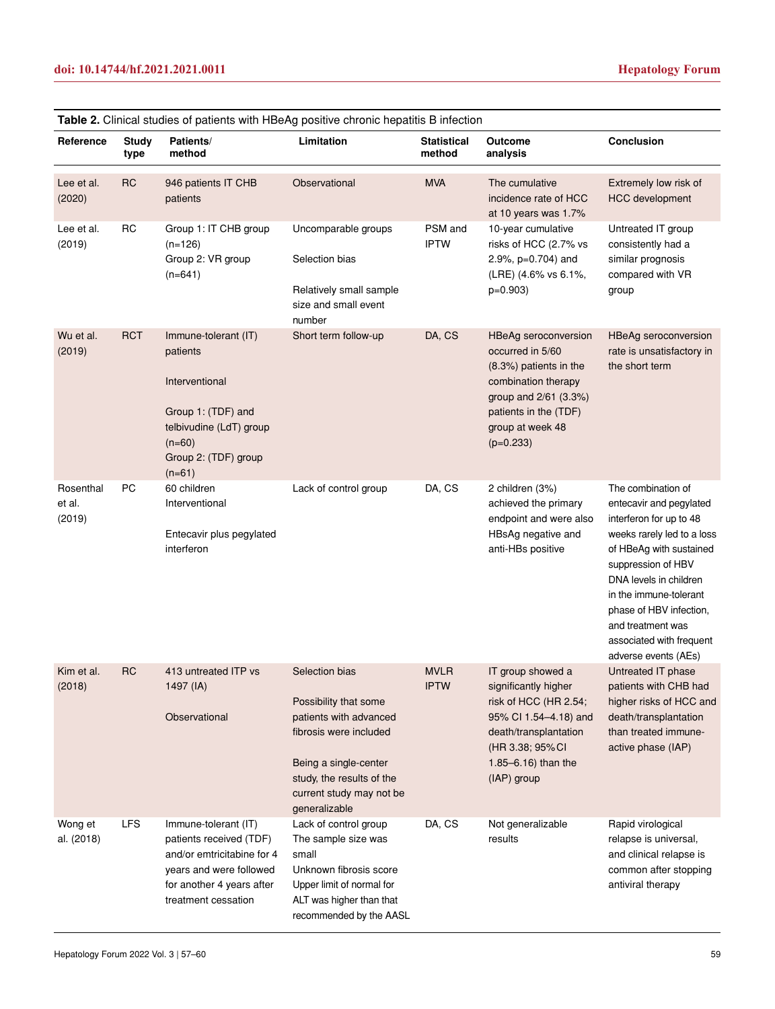| Reference                     | <b>Study</b><br>type | Patients/<br>method                                                                                                                                          | <b>Table 2.</b> Clinical studies of patients with HBeAg positive chronic nepatitis B infection<br>Limitation                                                                                   | <b>Statistical</b><br>method | Outcome<br>analysis                                                                                                                                                                | <b>Conclusion</b>                                                                                                                                                                                                                                                                                               |
|-------------------------------|----------------------|--------------------------------------------------------------------------------------------------------------------------------------------------------------|------------------------------------------------------------------------------------------------------------------------------------------------------------------------------------------------|------------------------------|------------------------------------------------------------------------------------------------------------------------------------------------------------------------------------|-----------------------------------------------------------------------------------------------------------------------------------------------------------------------------------------------------------------------------------------------------------------------------------------------------------------|
| Lee et al.<br>(2020)          | <b>RC</b>            | 946 patients IT CHB<br>patients                                                                                                                              | Observational                                                                                                                                                                                  | <b>MVA</b>                   | The cumulative<br>incidence rate of HCC<br>at 10 years was 1.7%                                                                                                                    | Extremely low risk of<br><b>HCC</b> development                                                                                                                                                                                                                                                                 |
| Lee et al.<br>(2019)          | <b>RC</b>            | Group 1: IT CHB group<br>$(n=126)$<br>Group 2: VR group<br>$(n=641)$                                                                                         | Uncomparable groups<br>Selection bias<br>Relatively small sample<br>size and small event<br>number                                                                                             | PSM and<br><b>IPTW</b>       | 10-year cumulative<br>risks of HCC (2.7% vs<br>2.9%, p=0.704) and<br>(LRE) (4.6% vs 6.1%,<br>$p=0.903$                                                                             | Untreated IT group<br>consistently had a<br>similar prognosis<br>compared with VR<br>group                                                                                                                                                                                                                      |
| Wu et al.<br>(2019)           | <b>RCT</b>           | Immune-tolerant (IT)<br>patients<br>Interventional<br>Group 1: (TDF) and<br>telbivudine (LdT) group<br>$(n=60)$<br>Group 2: (TDF) group<br>$(n=61)$          | Short term follow-up                                                                                                                                                                           | DA, CS                       | HBeAg seroconversion<br>occurred in 5/60<br>(8.3%) patients in the<br>combination therapy<br>group and 2/61 (3.3%)<br>patients in the (TDF)<br>group at week 48<br>$(p=0.233)$     | <b>HBeAg seroconversion</b><br>rate is unsatisfactory in<br>the short term                                                                                                                                                                                                                                      |
| Rosenthal<br>et al.<br>(2019) | PC                   | 60 children<br>Interventional<br>Entecavir plus pegylated<br>interferon                                                                                      | Lack of control group                                                                                                                                                                          | DA, CS                       | 2 children (3%)<br>achieved the primary<br>endpoint and were also<br>HBsAg negative and<br>anti-HBs positive                                                                       | The combination of<br>entecavir and pegylated<br>interferon for up to 48<br>weeks rarely led to a loss<br>of HBeAg with sustained<br>suppression of HBV<br>DNA levels in children<br>in the immune-tolerant<br>phase of HBV infection,<br>and treatment was<br>associated with frequent<br>adverse events (AEs) |
| Kim et al.<br>(2018)          | <b>RC</b>            | 413 untreated ITP vs<br>1497 (IA)<br>Observational                                                                                                           | Selection bias<br>Possibility that some<br>patients with advanced<br>fibrosis were included<br>Being a single-center<br>study, the results of the<br>current study may not be<br>generalizable | <b>MVLR</b><br><b>IPTW</b>   | IT group showed a<br>significantly higher<br>risk of HCC (HR 2.54;<br>95% CI 1.54-4.18) and<br>death/transplantation<br>(HR 3.38; 95% CI<br>1.85 $-6.16$ ) than the<br>(IAP) group | Untreated IT phase<br>patients with CHB had<br>higher risks of HCC and<br>death/transplantation<br>than treated immune-<br>active phase (IAP)                                                                                                                                                                   |
| Wong et<br>al. (2018)         | <b>LFS</b>           | Immune-tolerant (IT)<br>patients received (TDF)<br>and/or emtricitabine for 4<br>years and were followed<br>for another 4 years after<br>treatment cessation | Lack of control group<br>The sample size was<br>small<br>Unknown fibrosis score<br>Upper limit of normal for<br>ALT was higher than that<br>recommended by the AASL                            | DA, CS                       | Not generalizable<br>results                                                                                                                                                       | Rapid virological<br>relapse is universal,<br>and clinical relapse is<br>common after stopping<br>antiviral therapy                                                                                                                                                                                             |